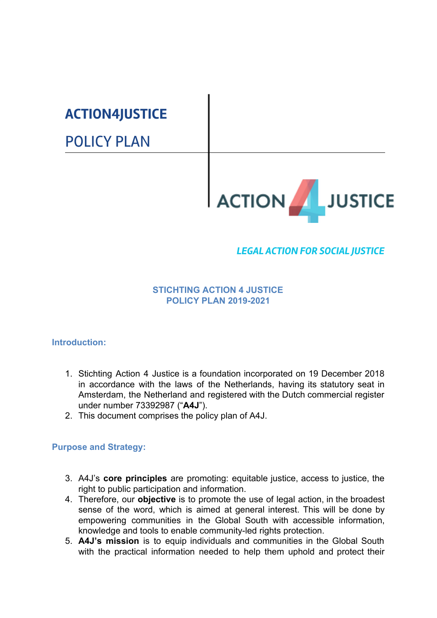# **ACTION4JUSTICE**

POLICY PLAN



# *LEGAL ACTION FOR SOCIAL JUSTICE*

## **STICHTING ACTION 4 JUSTICE POLICY PLAN 2019-2021**

# **Introduction:**

- 1. Stichting Action 4 Justice is a foundation incorporated on 19 December 2018 in accordance with the laws of the Netherlands, having its statutory seat in Amsterdam, the Netherland and registered with the Dutch commercial register under number 73392987 ("**A4J**").
- 2. This document comprises the policy plan of A4J.

## **Purpose and Strategy:**

- 3. A4J's **core principles** are promoting: equitable justice, access to justice, the right to public participation and information.
- 4. Therefore, our **objective** is to promote the use of legal action, in the broadest sense of the word, which is aimed at general interest. This will be done by empowering communities in the Global South with accessible information, knowledge and tools to enable community-led rights protection.
- 5. **A4J's mission** is to equip individuals and communities in the Global South with the practical information needed to help them uphold and protect their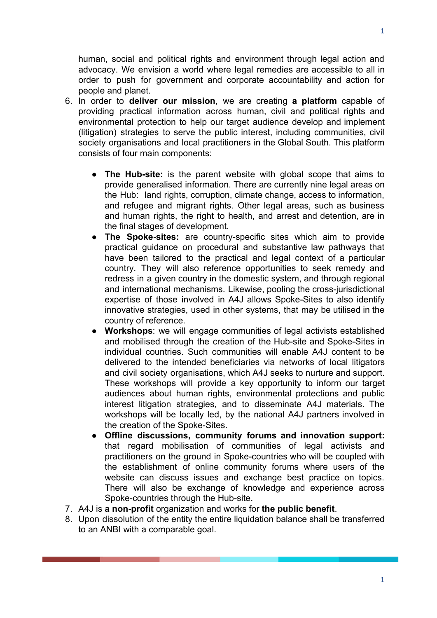human, social and political rights and environment through legal action and advocacy. We envision a world where legal remedies are accessible to all in order to push for government and corporate accountability and action for people and planet.

- 6. In order to **deliver our mission**, we are creating **a platform** capable of providing practical information across human, civil and political rights and environmental protection to help our target audience develop and implement (litigation) strategies to serve the public interest, including communities, civil society organisations and local practitioners in the Global South. This platform consists of four main components:
	- **The Hub-site:** is the parent website with global scope that aims to provide generalised information. There are currently nine legal areas on the Hub: land rights, corruption, climate change, access to information, and refugee and migrant rights. Other legal areas, such as business and human rights, the right to health, and arrest and detention, are in the final stages of development.
	- **The Spoke-sites:** are country-specific sites which aim to provide practical guidance on procedural and substantive law pathways that have been tailored to the practical and legal context of a particular country. They will also reference opportunities to seek remedy and redress in a given country in the domestic system, and through regional and international mechanisms. Likewise, pooling the cross-jurisdictional expertise of those involved in A4J allows Spoke-Sites to also identify innovative strategies, used in other systems, that may be utilised in the country of reference.
	- **Workshops**: we will engage communities of legal activists established and mobilised through the creation of the Hub-site and Spoke-Sites in individual countries. Such communities will enable A4J content to be delivered to the intended beneficiaries via networks of local litigators and civil society organisations, which A4J seeks to nurture and support. These workshops will provide a key opportunity to inform our target audiences about human rights, environmental protections and public interest litigation strategies, and to disseminate A4J materials. The workshops will be locally led, by the national A4J partners involved in the creation of the Spoke-Sites.
	- **Offline discussions, community forums and innovation support:** that regard mobilisation of communities of legal activists and practitioners on the ground in Spoke-countries who will be coupled with the establishment of online community forums where users of the website can discuss issues and exchange best practice on topics. There will also be exchange of knowledge and experience across Spoke-countries through the Hub-site.
- 7. A4J is **a non-profit** organization and works for **the public benefit**.
- 8. Upon dissolution of the entity the entire liquidation balance shall be transferred to an ANBI with a comparable goal.